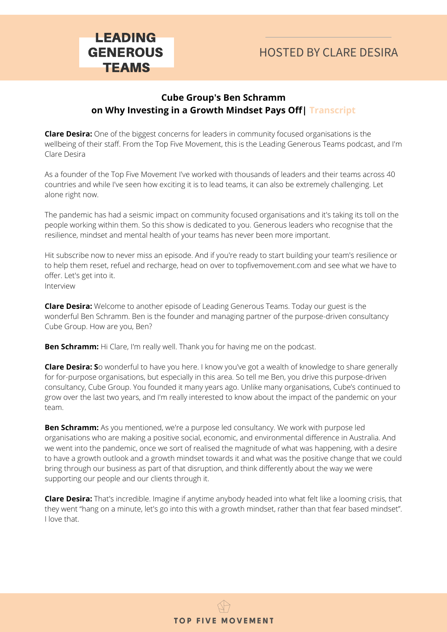### **Cube Group's Ben Schramm on Why Investing in a Growth Mindset Pays Off| Transcript**

**Clare Desira:** One of the biggest concerns for leaders in community focused organisations is the wellbeing of their staff. From the Top Five Movement, this is the Leading Generous Teams podcast, and I'm Clare Desira

As a founder of the Top Five Movement I've worked with thousands of leaders and their teams across 40 countries and while I've seen how exciting it is to lead teams, it can also be extremely challenging. Let alone right now.

The pandemic has had a seismic impact on community focused organisations and it's taking its toll on the people working within them. So this show is dedicated to you. Generous leaders who recognise that the resilience, mindset and mental health of your teams has never been more important.

Hit subscribe now to never miss an episode. And if you're ready to start building your team's resilience or to help them reset, refuel and recharge, head on over to topfivemovement.com and see what we have to offer. Let's get into it. Interview

**Clare Desira:** Welcome to another episode of Leading Generous Teams. Today our guest is the wonderful Ben Schramm. Ben is the founder and managing partner of the purpose-driven consultancy Cube Group. How are you, Ben?

**Ben Schramm:** Hi Clare, I'm really well. Thank you for having me on the podcast.

**Clare Desira: S**o wonderful to have you here. I know you've got a wealth of knowledge to share generally for for-purpose organisations, but especially in this area. So tell me Ben, you drive this purpose-driven consultancy, Cube Group. You founded it many years ago. Unlike many organisations, Cube's continued to grow over the last two years, and I'm really interested to know about the impact of the pandemic on your team.

**Ben Schramm:** As you mentioned, we're a purpose led consultancy. We work with purpose led organisations who are making a positive social, economic, and environmental difference in Australia. And we went into the pandemic, once we sort of realised the magnitude of what was happening, with a desire to have a growth outlook and a growth mindset towards it and what was the positive change that we could bring through our business as part of that disruption, and think differently about the way we were supporting our people and our clients through it.

**Clare Desira:** That's incredible. Imagine if anytime anybody headed into what felt like a looming crisis, that they went "hang on a minute, let's go into this with a growth mindset, rather than that fear based mindset". I love that.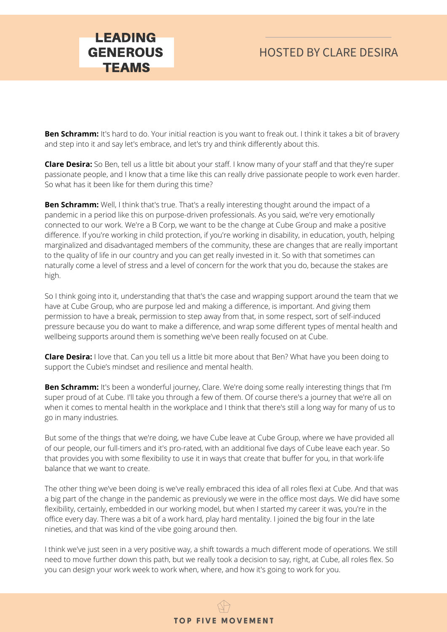## HOSTED BY CLARE DESIRA

**Ben Schramm:** It's hard to do. Your initial reaction is you want to freak out. I think it takes a bit of bravery and step into it and say let's embrace, and let's try and think differently about this.

**Clare Desira:** So Ben, tell us a little bit about your staff. I know many of your staff and that they're super passionate people, and I know that a time like this can really drive passionate people to work even harder. So what has it been like for them during this time?

**Ben Schramm:** Well, I think that's true. That's a really interesting thought around the impact of a pandemic in a period like this on purpose-driven professionals. As you said, we're very emotionally connected to our work. We're a B Corp, we want to be the change at Cube Group and make a positive difference. If you're working in child protection, if you're working in disability, in education, youth, helping marginalized and disadvantaged members of the community, these are changes that are really important to the quality of life in our country and you can get really invested in it. So with that sometimes can naturally come a level of stress and a level of concern for the work that you do, because the stakes are high.

So I think going into it, understanding that that's the case and wrapping support around the team that we have at Cube Group, who are purpose led and making a difference, is important. And giving them permission to have a break, permission to step away from that, in some respect, sort of self-induced pressure because you do want to make a difference, and wrap some different types of mental health and wellbeing supports around them is something we've been really focused on at Cube.

**Clare Desira:** I love that. Can you tell us a little bit more about that Ben? What have you been doing to support the Cubie's mindset and resilience and mental health.

**Ben Schramm:** It's been a wonderful journey, Clare. We're doing some really interesting things that I'm super proud of at Cube. I'll take you through a few of them. Of course there's a journey that we're all on when it comes to mental health in the workplace and I think that there's still a long way for many of us to go in many industries.

But some of the things that we're doing, we have Cube leave at Cube Group, where we have provided all of our people, our full-timers and it's pro-rated, with an additional five days of Cube leave each year. So that provides you with some flexibility to use it in ways that create that buffer for you, in that work-life balance that we want to create.

The other thing we've been doing is we've really embraced this idea of all roles flexi at Cube. And that was a big part of the change in the pandemic as previously we were in the office most days. We did have some flexibility, certainly, embedded in our working model, but when I started my career it was, you're in the office every day. There was a bit of a work hard, play hard mentality. I joined the big four in the late nineties, and that was kind of the vibe going around then.

I think we've just seen in a very positive way, a shift towards a much different mode of operations. We still need to move further down this path, but we really took a decision to say, right, at Cube, all roles flex. So you can design your work week to work when, where, and how it's going to work for you.

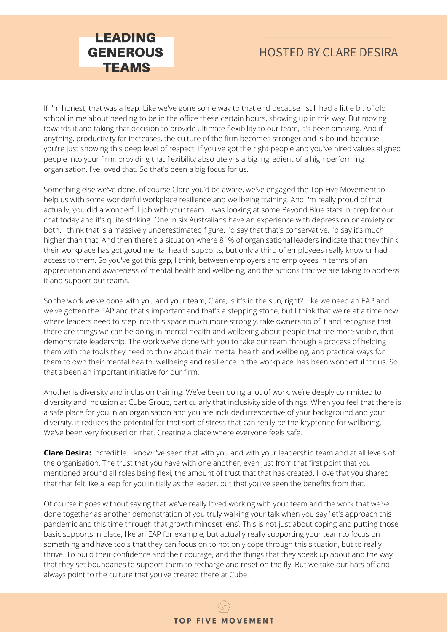

If I'm honest, that was a leap. Like we've gone some way to that end because I still had a little bit of old school in me about needing to be in the office these certain hours, showing up in this way. But moving towards it and taking that decision to provide ultimate flexibility to our team, it's been amazing. And if anything, productivity far increases, the culture of the firm becomes stronger and is bound, because you're just showing this deep level of respect. If you've got the right people and you've hired values aligned people into your firm, providing that flexibility absolutely is a big ingredient of a high performing organisation. I've loved that. So that's been a big focus for us.

Something else we've done, of course Clare you'd be aware, we've engaged the Top Five Movement to help us with some wonderful workplace resilience and wellbeing training. And I'm really proud of that actually, you did a wonderful job with your team. I was looking at some Beyond Blue stats in prep for our chat today and it's quite striking. One in six Australians have an experience with depression or anxiety or both. I think that is a massively underestimated figure. I'd say that that's conservative, I'd say it's much higher than that. And then there's a situation where 81% of organisational leaders indicate that they think their workplace has got good mental health supports, but only a third of employees really know or had access to them. So you've got this gap, I think, between employers and employees in terms of an appreciation and awareness of mental health and wellbeing, and the actions that we are taking to address it and support our teams.

So the work we've done with you and your team, Clare, is it's in the sun, right? Like we need an EAP and we've gotten the EAP and that's important and that's a stepping stone, but I think that we're at a time now where leaders need to step into this space much more strongly, take ownership of it and recognise that there are things we can be doing in mental health and wellbeing about people that are more visible, that demonstrate leadership. The work we've done with you to take our team through a process of helping them with the tools they need to think about their mental health and wellbeing, and practical ways for them to own their mental health, wellbeing and resilience in the workplace, has been wonderful for us. So that's been an important initiative for our firm.

Another is diversity and inclusion training. We've been doing a lot of work, we're deeply committed to diversity and inclusion at Cube Group, particularly that inclusivity side of things. When you feel that there is a safe place for you in an organisation and you are included irrespective of your background and your diversity, it reduces the potential for that sort of stress that can really be the kryptonite for wellbeing. We've been very focused on that. Creating a place where everyone feels safe.

**Clare Desira:** Incredible. I know I've seen that with you and with your leadership team and at all levels of the organisation. The trust that you have with one another, even just from that first point that you mentioned around all roles being flexi, the amount of trust that that has created. I love that you shared that that felt like a leap for you initially as the leader, but that you've seen the benefits from that.

Of course it goes without saying that we've really loved working with your team and the work that we've done together as another demonstration of you truly walking your talk when you say 'let's approach this pandemic and this time through that growth mindset lens'. This is not just about coping and putting those basic supports in place, like an EAP for example, but actually really supporting your team to focus on something and have tools that they can focus on to not only cope through this situation, but to really thrive. To build their confidence and their courage, and the things that they speak up about and the way that they set boundaries to support them to recharge and reset on the fly. But we take our hats off and always point to the culture that you've created there at Cube.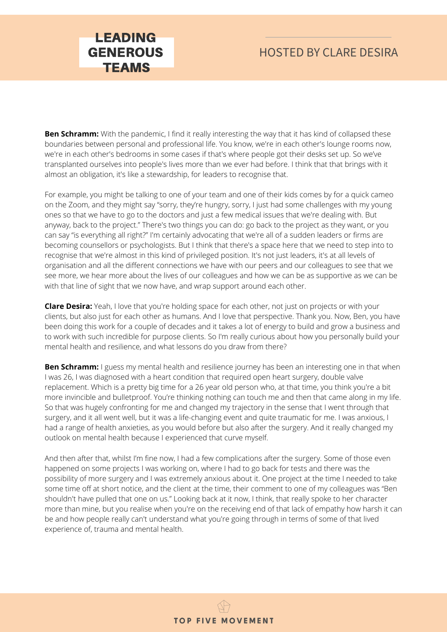## HOSTED BY CLARE DESIRA

**Ben Schramm:** With the pandemic, I find it really interesting the way that it has kind of collapsed these boundaries between personal and professional life. You know, we're in each other's lounge rooms now, we're in each other's bedrooms in some cases if that's where people got their desks set up. So we've transplanted ourselves into people's lives more than we ever had before. I think that that brings with it almost an obligation, it's like a stewardship, for leaders to recognise that.

For example, you might be talking to one of your team and one of their kids comes by for a quick cameo on the Zoom, and they might say "sorry, they're hungry, sorry, I just had some challenges with my young ones so that we have to go to the doctors and just a few medical issues that we're dealing with. But anyway, back to the project." There's two things you can do: go back to the project as they want, or you can say "is everything all right?" I'm certainly advocating that we're all of a sudden leaders or firms are becoming counsellors or psychologists. But I think that there's a space here that we need to step into to recognise that we're almost in this kind of privileged position. It's not just leaders, it's at all levels of organisation and all the different connections we have with our peers and our colleagues to see that we see more, we hear more about the lives of our colleagues and how we can be as supportive as we can be with that line of sight that we now have, and wrap support around each other.

**Clare Desira:** Yeah, I love that you're holding space for each other, not just on projects or with your clients, but also just for each other as humans. And I love that perspective. Thank you. Now, Ben, you have been doing this work for a couple of decades and it takes a lot of energy to build and grow a business and to work with such incredible for purpose clients. So I'm really curious about how you personally build your mental health and resilience, and what lessons do you draw from there?

**Ben Schramm:** I guess my mental health and resilience journey has been an interesting one in that when I was 26, I was diagnosed with a heart condition that required open heart surgery, double valve replacement. Which is a pretty big time for a 26 year old person who, at that time, you think you're a bit more invincible and bulletproof. You're thinking nothing can touch me and then that came along in my life. So that was hugely confronting for me and changed my trajectory in the sense that I went through that surgery, and it all went well, but it was a life-changing event and quite traumatic for me. I was anxious, I had a range of health anxieties, as you would before but also after the surgery. And it really changed my outlook on mental health because I experienced that curve myself.

And then after that, whilst I'm fine now, I had a few complications after the surgery. Some of those even happened on some projects I was working on, where I had to go back for tests and there was the possibility of more surgery and I was extremely anxious about it. One project at the time I needed to take some time off at short notice, and the client at the time, their comment to one of my colleagues was "Ben shouldn't have pulled that one on us." Looking back at it now, I think, that really spoke to her character more than mine, but you realise when you're on the receiving end of that lack of empathy how harsh it can be and how people really can't understand what you're going through in terms of some of that lived experience of, trauma and mental health.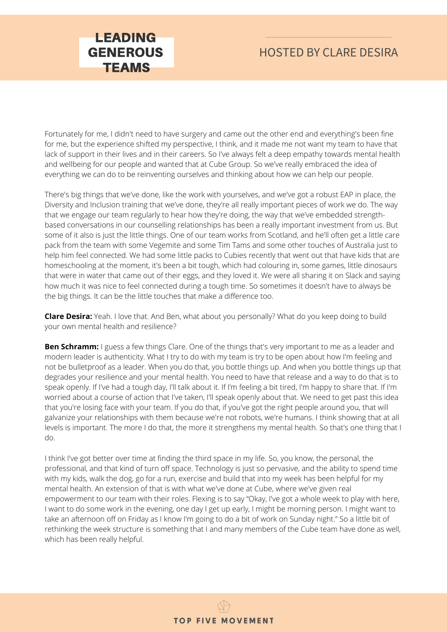## HOSTED BY CLARE DESIRA

Fortunately for me, I didn't need to have surgery and came out the other end and everything's been fine for me, but the experience shifted my perspective, I think, and it made me not want my team to have that lack of support in their lives and in their careers. So I've always felt a deep empathy towards mental health and wellbeing for our people and wanted that at Cube Group. So we've really embraced the idea of everything we can do to be reinventing ourselves and thinking about how we can help our people.

There's big things that we've done, like the work with yourselves, and we've got a robust EAP in place, the Diversity and Inclusion training that we've done, they're all really important pieces of work we do. The way that we engage our team regularly to hear how they're doing, the way that we've embedded strengthbased conversations in our counselling relationships has been a really important investment from us. But some of it also is just the little things. One of our team works from Scotland, and he'll often get a little care pack from the team with some Vegemite and some Tim Tams and some other touches of Australia just to help him feel connected. We had some little packs to Cubies recently that went out that have kids that are homeschooling at the moment, it's been a bit tough, which had colouring in, some games, little dinosaurs that were in water that came out of their eggs, and they loved it. We were all sharing it on Slack and saying how much it was nice to feel connected during a tough time. So sometimes it doesn't have to always be the big things. It can be the little touches that make a difference too.

**Clare Desira:** Yeah. I love that. And Ben, what about you personally? What do you keep doing to build your own mental health and resilience?

**Ben Schramm:** I guess a few things Clare. One of the things that's very important to me as a leader and modern leader is authenticity. What I try to do with my team is try to be open about how I'm feeling and not be bulletproof as a leader. When you do that, you bottle things up. And when you bottle things up that degrades your resilience and your mental health. You need to have that release and a way to do that is to speak openly. If I've had a tough day, I'll talk about it. If I'm feeling a bit tired, I'm happy to share that. If I'm worried about a course of action that I've taken, I'll speak openly about that. We need to get past this idea that you're losing face with your team. If you do that, if you've got the right people around you, that will galvanize your relationships with them because we're not robots, we're humans. I think showing that at all levels is important. The more I do that, the more it strengthens my mental health. So that's one thing that I do.

I think I've got better over time at finding the third space in my life. So, you know, the personal, the professional, and that kind of turn off space. Technology is just so pervasive, and the ability to spend time with my kids, walk the dog, go for a run, exercise and build that into my week has been helpful for my mental health. An extension of that is with what we've done at Cube, where we've given real empowerment to our team with their roles. Flexing is to say "Okay, I've got a whole week to play with here, I want to do some work in the evening, one day I get up early, I might be morning person. I might want to take an afternoon off on Friday as I know I'm going to do a bit of work on Sunday night." So a little bit of rethinking the week structure is something that I and many members of the Cube team have done as well, which has been really helpful.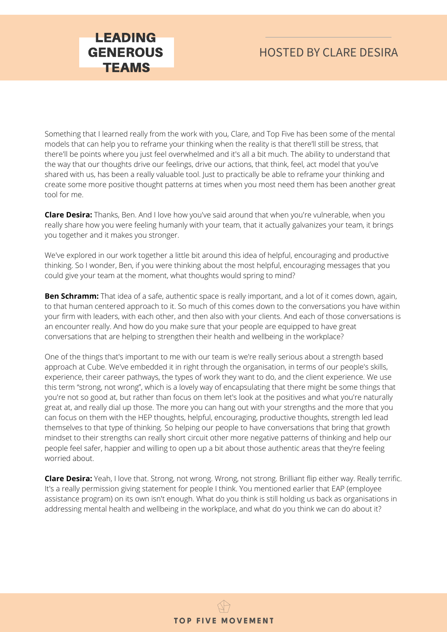## HOSTED BY CLARE DESIRA

Something that I learned really from the work with you, Clare, and Top Five has been some of the mental models that can help you to reframe your thinking when the reality is that there'll still be stress, that there'll be points where you just feel overwhelmed and it's all a bit much. The ability to understand that the way that our thoughts drive our feelings, drive our actions, that think, feel, act model that you've shared with us, has been a really valuable tool. Just to practically be able to reframe your thinking and create some more positive thought patterns at times when you most need them has been another great tool for me.

LEADING GENEROUS **TEAMS** 

**Clare Desira:** Thanks, Ben. And I love how you've said around that when you're vulnerable, when you really share how you were feeling humanly with your team, that it actually galvanizes your team, it brings you together and it makes you stronger.

We've explored in our work together a little bit around this idea of helpful, encouraging and productive thinking. So I wonder, Ben, if you were thinking about the most helpful, encouraging messages that you could give your team at the moment, what thoughts would spring to mind?

**Ben Schramm:** That idea of a safe, authentic space is really important, and a lot of it comes down, again, to that human centered approach to it. So much of this comes down to the conversations you have within your firm with leaders, with each other, and then also with your clients. And each of those conversations is an encounter really. And how do you make sure that your people are equipped to have great conversations that are helping to strengthen their health and wellbeing in the workplace?

One of the things that's important to me with our team is we're really serious about a strength based approach at Cube. We've embedded it in right through the organisation, in terms of our people's skills, experience, their career pathways, the types of work they want to do, and the client experience. We use this term "strong, not wrong", which is a lovely way of encapsulating that there might be some things that you're not so good at, but rather than focus on them let's look at the positives and what you're naturally great at, and really dial up those. The more you can hang out with your strengths and the more that you can focus on them with the HEP thoughts, helpful, encouraging, productive thoughts, strength led lead themselves to that type of thinking. So helping our people to have conversations that bring that growth mindset to their strengths can really short circuit other more negative patterns of thinking and help our people feel safer, happier and willing to open up a bit about those authentic areas that they're feeling worried about.

**Clare Desira:** Yeah, I love that. Strong, not wrong. Wrong, not strong. Brilliant flip either way. Really terrific. It's a really permission giving statement for people I think. You mentioned earlier that EAP (employee assistance program) on its own isn't enough. What do you think is still holding us back as organisations in addressing mental health and wellbeing in the workplace, and what do you think we can do about it?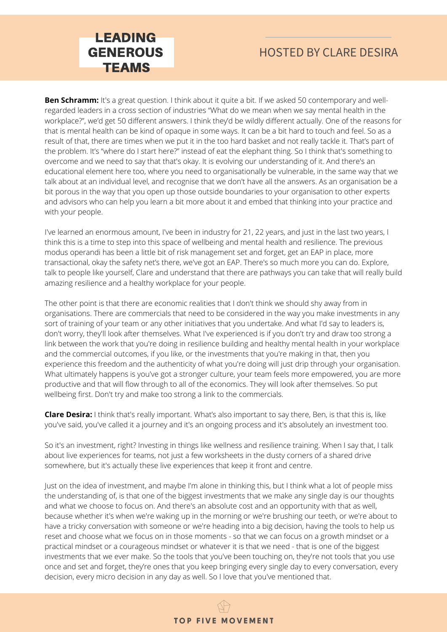

## HOSTED BY CLARE DESIRA

**Ben Schramm:** It's a great question. I think about it quite a bit. If we asked 50 contemporary and wellregarded leaders in a cross section of industries "What do we mean when we say mental health in the workplace?", we'd get 50 different answers. I think they'd be wildly different actually. One of the reasons for that is mental health can be kind of opaque in some ways. It can be a bit hard to touch and feel. So as a result of that, there are times when we put it in the too hard basket and not really tackle it. That's part of the problem. It's "where do I start here?" instead of eat the elephant thing. So I think that's something to overcome and we need to say that that's okay. It is evolving our understanding of it. And there's an educational element here too, where you need to organisationally be vulnerable, in the same way that we talk about at an individual level, and recognise that we don't have all the answers. As an organisation be a bit porous in the way that you open up those outside boundaries to your organisation to other experts and advisors who can help you learn a bit more about it and embed that thinking into your practice and with your people.

I've learned an enormous amount, I've been in industry for 21, 22 years, and just in the last two years, I think this is a time to step into this space of wellbeing and mental health and resilience. The previous modus operandi has been a little bit of risk management set and forget, get an EAP in place, more transactional, okay the safety net's there, we've got an EAP. There's so much more you can do. Explore, talk to people like yourself, Clare and understand that there are pathways you can take that will really build amazing resilience and a healthy workplace for your people.

The other point is that there are economic realities that I don't think we should shy away from in organisations. There are commercials that need to be considered in the way you make investments in any sort of training of your team or any other initiatives that you undertake. And what I'd say to leaders is, don't worry, they'll look after themselves. What I've experienced is if you don't try and draw too strong a link between the work that you're doing in resilience building and healthy mental health in your workplace and the commercial outcomes, if you like, or the investments that you're making in that, then you experience this freedom and the authenticity of what you're doing will just drip through your organisation. What ultimately happens is you've got a stronger culture, your team feels more empowered, you are more productive and that will flow through to all of the economics. They will look after themselves. So put wellbeing first. Don't try and make too strong a link to the commercials.

**Clare Desira:** I think that's really important. What's also important to say there, Ben, is that this is, like you've said, you've called it a journey and it's an ongoing process and it's absolutely an investment too.

So it's an investment, right? Investing in things like wellness and resilience training. When I say that, I talk about live experiences for teams, not just a few worksheets in the dusty corners of a shared drive somewhere, but it's actually these live experiences that keep it front and centre.

Just on the idea of investment, and maybe I'm alone in thinking this, but I think what a lot of people miss the understanding of, is that one of the biggest investments that we make any single day is our thoughts and what we choose to focus on. And there's an absolute cost and an opportunity with that as well, because whether it's when we're waking up in the morning or we're brushing our teeth, or we're about to have a tricky conversation with someone or we're heading into a big decision, having the tools to help us reset and choose what we focus on in those moments - so that we can focus on a growth mindset or a practical mindset or a courageous mindset or whatever it is that we need - that is one of the biggest investments that we ever make. So the tools that you've been touching on, they're not tools that you use once and set and forget, they're ones that you keep bringing every single day to every conversation, every decision, every micro decision in any day as well. So I love that you've mentioned that.

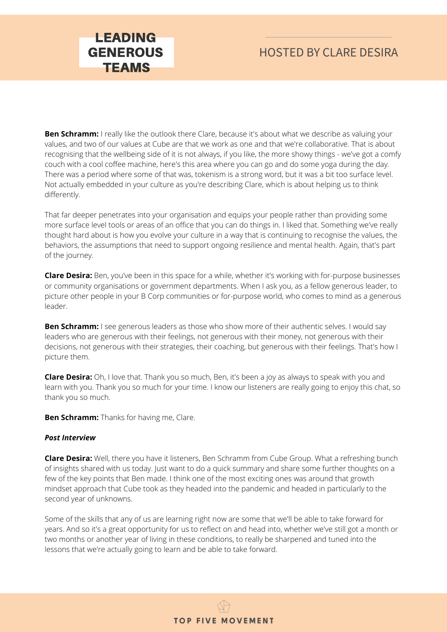## HOSTED BY CLARE DESIRA

**Ben Schramm:** I really like the outlook there Clare, because it's about what we describe as valuing your values, and two of our values at Cube are that we work as one and that we're collaborative. That is about recognising that the wellbeing side of it is not always, if you like, the more showy things - we've got a comfy couch with a cool coffee machine, here's this area where you can go and do some yoga during the day. There was a period where some of that was, tokenism is a strong word, but it was a bit too surface level. Not actually embedded in your culture as you're describing Clare, which is about helping us to think differently.

That far deeper penetrates into your organisation and equips your people rather than providing some more surface level tools or areas of an office that you can do things in. I liked that. Something we've really thought hard about is how you evolve your culture in a way that is continuing to recognise the values, the behaviors, the assumptions that need to support ongoing resilience and mental health. Again, that's part of the journey.

**Clare Desira:** Ben, you've been in this space for a while, whether it's working with for-purpose businesses or community organisations or government departments. When I ask you, as a fellow generous leader, to picture other people in your B Corp communities or for-purpose world, who comes to mind as a generous leader.

**Ben Schramm:** I see generous leaders as those who show more of their authentic selves. I would say leaders who are generous with their feelings, not generous with their money, not generous with their decisions, not generous with their strategies, their coaching, but generous with their feelings. That's how I picture them.

**Clare Desira:** Oh, I love that. Thank you so much, Ben, it's been a joy as always to speak with you and learn with you. Thank you so much for your time. I know our listeners are really going to enjoy this chat, so thank you so much.

**Ben Schramm:** Thanks for having me, Clare.

#### *Post Interview*

**Clare Desira:** Well, there you have it listeners, Ben Schramm from Cube Group. What a refreshing bunch of insights shared with us today. Just want to do a quick summary and share some further thoughts on a few of the key points that Ben made. I think one of the most exciting ones was around that growth mindset approach that Cube took as they headed into the pandemic and headed in particularly to the second year of unknowns.

Some of the skills that any of us are learning right now are some that we'll be able to take forward for years. And so it's a great opportunity for us to reflect on and head into, whether we've still got a month or two months or another year of living in these conditions, to really be sharpened and tuned into the lessons that we're actually going to learn and be able to take forward.

**TOP FIVE MOVEMENT**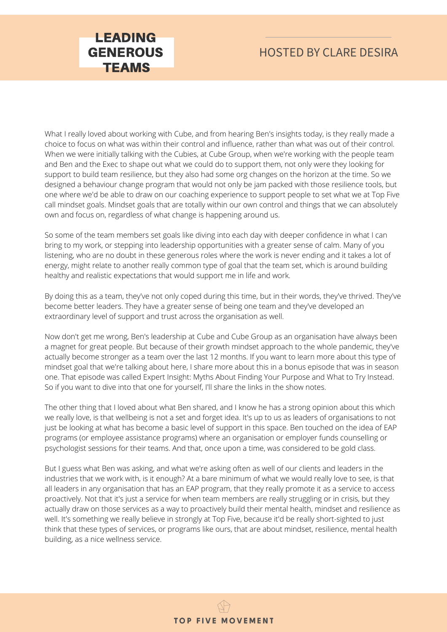## HOSTED BY CLARE DESIRA

What I really loved about working with Cube, and from hearing Ben's insights today, is they really made a choice to focus on what was within their control and influence, rather than what was out of their control. When we were initially talking with the Cubies, at Cube Group, when we're working with the people team and Ben and the Exec to shape out what we could do to support them, not only were they looking for support to build team resilience, but they also had some org changes on the horizon at the time. So we designed a behaviour change program that would not only be jam packed with those resilience tools, but one where we'd be able to draw on our coaching experience to support people to set what we at Top Five call mindset goals. Mindset goals that are totally within our own control and things that we can absolutely own and focus on, regardless of what change is happening around us.

So some of the team members set goals like diving into each day with deeper confidence in what I can bring to my work, or stepping into leadership opportunities with a greater sense of calm. Many of you listening, who are no doubt in these generous roles where the work is never ending and it takes a lot of energy, might relate to another really common type of goal that the team set, which is around building healthy and realistic expectations that would support me in life and work.

By doing this as a team, they've not only coped during this time, but in their words, they've thrived. They've become better leaders. They have a greater sense of being one team and they've developed an extraordinary level of support and trust across the organisation as well.

Now don't get me wrong, Ben's leadership at Cube and Cube Group as an organisation have always been a magnet for great people. But because of their growth mindset approach to the whole pandemic, they've actually become stronger as a team over the last 12 months. If you want to learn more about this type of mindset goal that we're talking about here, I share more about this in a bonus episode that was in season one. That episode was called Expert Insight: Myths About Finding Your Purpose and What to Try Instead. So if you want to dive into that one for yourself, I'll share the links in the show notes.

The other thing that I loved about what Ben shared, and I know he has a strong opinion about this which we really love, is that wellbeing is not a set and forget idea. It's up to us as leaders of organisations to not just be looking at what has become a basic level of support in this space. Ben touched on the idea of EAP programs (or employee assistance programs) where an organisation or employer funds counselling or psychologist sessions for their teams. And that, once upon a time, was considered to be gold class.

But I guess what Ben was asking, and what we're asking often as well of our clients and leaders in the industries that we work with, is it enough? At a bare minimum of what we would really love to see, is that all leaders in any organisation that has an EAP program, that they really promote it as a service to access proactively. Not that it's just a service for when team members are really struggling or in crisis, but they actually draw on those services as a way to proactively build their mental health, mindset and resilience as well. It's something we really believe in strongly at Top Five, because it'd be really short-sighted to just think that these types of services, or programs like ours, that are about mindset, resilience, mental health building, as a nice wellness service.